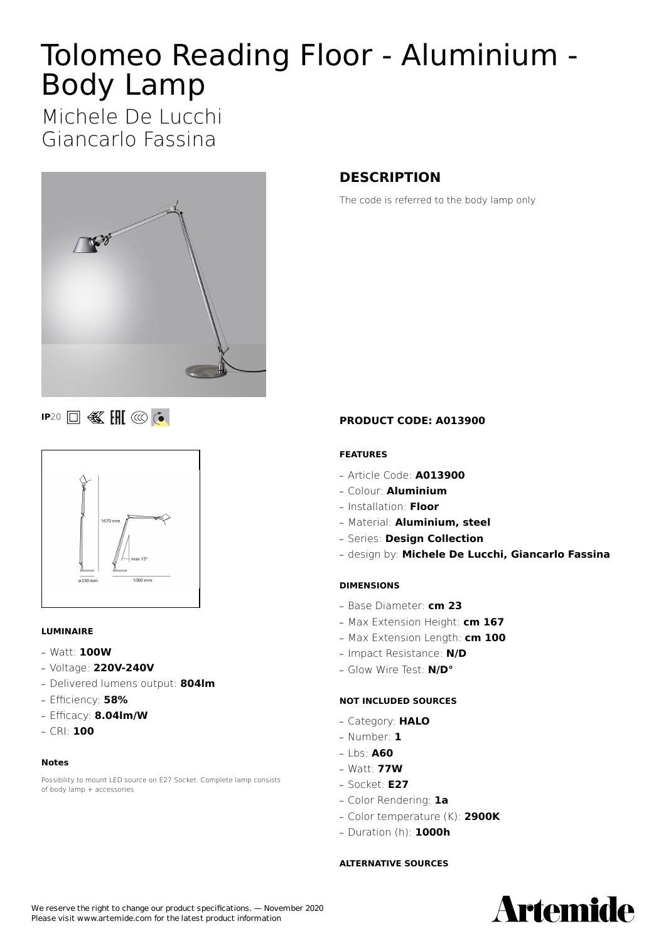# Tolomeo Reading Floor - Aluminium - Body Lamp

Michele De Lucchi Giancarlo Fassina



**IP**20 **B K H**  $\circ$  **C** 



### **LUMINAIRE**

- **—** Watt: **100W**
- **—** Voltage: **220V-240V**
- **—** Delivered lumens output: **804lm**
- **—** Efficiency: **58%**
- **—** Efficacy: **8.04lm/W**
- **—** CRI: **100**

#### **Notes**

Possibility to mount LED source on E27 Socket. Complete lamp consists of body lamp + accessories

# **DESCRIPTION**

The code is referred to the body lamp only

### **PRODUCT CODE: A013900**

### **FEATURES**

- **—** Article Code: **A013900**
- **—** Colour: **Aluminium**
- **—** Installation: **Floor**
- **—** Material: **Aluminium, steel**
- **—** Series: **Design Collection**
- **—** design by: **Michele De Lucchi, Giancarlo Fassina**

### **DIMENSIONS**

- **—** Base Diameter: **cm 23**
- **—** Max Extension Height: **cm 167**
- **—** Max Extension Length: **cm 100**
- **—** Impact Resistance: **N/D**
- **—** Glow Wire Test: **N/D°**

### **NOT INCLUDED SOURCES**

- **—** Category: **HALO**
- **—** Number: **1**
- **—** Lbs: **A60**
- **—** Watt: **77W**
- **—** Socket: **E27**
- **—** Color Rendering: **1a**
- **—** Color temperature (K): **2900K**
- **—** Duration (h): **1000h**

#### **ALTERNATIVE SOURCES**